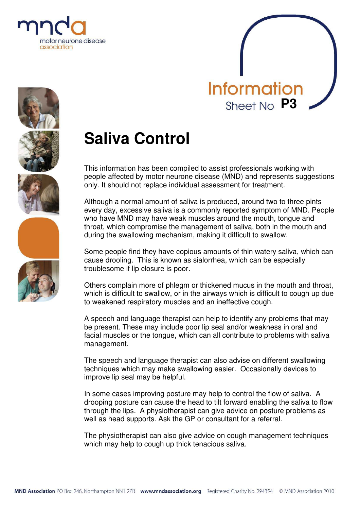











# **Saliva Control**

This information has been compiled to assist professionals working with people affected by motor neurone disease (MND) and represents suggestions only. It should not replace individual assessment for treatment.

Although a normal amount of saliva is produced, around two to three pints every day, excessive saliva is a commonly reported symptom of MND. People who have MND may have weak muscles around the mouth, tongue and throat, which compromise the management of saliva, both in the mouth and during the swallowing mechanism, making it difficult to swallow.

Some people find they have copious amounts of thin watery saliva, which can cause drooling. This is known as sialorrhea, which can be especially troublesome if lip closure is poor.

Others complain more of phlegm or thickened mucus in the mouth and throat, which is difficult to swallow, or in the airways which is difficult to cough up due to weakened respiratory muscles and an ineffective cough.

A speech and language therapist can help to identify any problems that may be present. These may include poor lip seal and/or weakness in oral and facial muscles or the tongue, which can all contribute to problems with saliva management.

The speech and language therapist can also advise on different swallowing techniques which may make swallowing easier. Occasionally devices to improve lip seal may be helpful.

In some cases improving posture may help to control the flow of saliva. A drooping posture can cause the head to tilt forward enabling the saliva to flow through the lips. A physiotherapist can give advice on posture problems as well as head supports. Ask the GP or consultant for a referral.

The physiotherapist can also give advice on cough management techniques which may help to cough up thick tenacious saliva.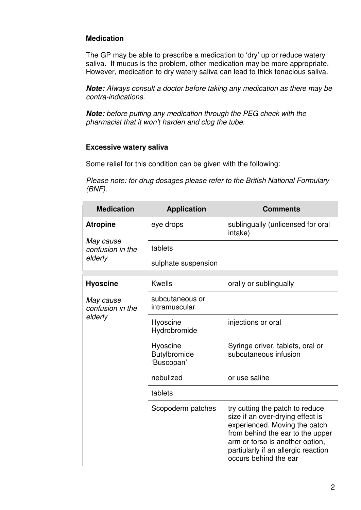# **Medication**

The GP may be able to prescribe a medication to 'dry' up or reduce watery saliva. If mucus is the problem, other medication may be more appropriate. However, medication to dry watery saliva can lead to thick tenacious saliva.

**Note:** *Always consult a doctor before taking any medication as there may be contra-indications.*

**Note:** *before putting any medication through the PEG check with the pharmacist that it won't harden and clog the tube.*

## **Excessive watery saliva**

Some relief for this condition can be given with the following:

*Please note: for drug dosages please refer to the British National Formulary (BNF).*

| <b>Medication</b>                                           | <b>Application</b>                     | <b>Comments</b>                                                                                                                                                                                                                             |
|-------------------------------------------------------------|----------------------------------------|---------------------------------------------------------------------------------------------------------------------------------------------------------------------------------------------------------------------------------------------|
| <b>Atropine</b><br>May cause<br>confusion in the<br>elderly | eye drops                              | sublingually (unlicensed for oral<br>intake)                                                                                                                                                                                                |
|                                                             | tablets                                |                                                                                                                                                                                                                                             |
|                                                             | sulphate suspension                    |                                                                                                                                                                                                                                             |
| <b>Hyoscine</b>                                             | <b>Kwells</b>                          | orally or sublingually                                                                                                                                                                                                                      |
| May cause<br>confusion in the<br>elderly                    | subcutaneous or<br>intramuscular       |                                                                                                                                                                                                                                             |
|                                                             | Hyoscine<br>Hydrobromide               | injections or oral                                                                                                                                                                                                                          |
|                                                             | Hyoscine<br>Butylbromide<br>'Buscopan' | Syringe driver, tablets, oral or<br>subcutaneous infusion                                                                                                                                                                                   |
|                                                             | nebulized                              | or use saline                                                                                                                                                                                                                               |
|                                                             | tablets                                |                                                                                                                                                                                                                                             |
|                                                             | Scopoderm patches                      | try cutting the patch to reduce<br>size if an over-drying effect is<br>experienced. Moving the patch<br>from behind the ear to the upper<br>arm or torso is another option,<br>partiularly if an allergic reaction<br>occurs behind the ear |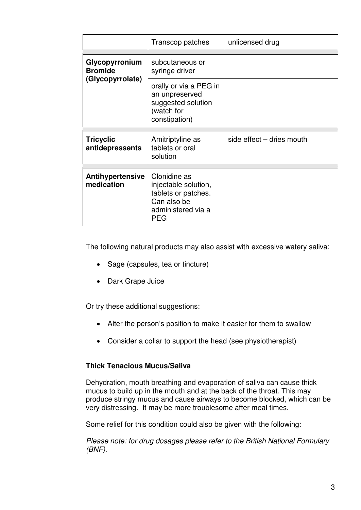|                                       | Transcop patches                                                                                               | unlicensed drug           |
|---------------------------------------|----------------------------------------------------------------------------------------------------------------|---------------------------|
| Glycopyrronium                        | subcutaneous or                                                                                                |                           |
| <b>Bromide</b><br>(Glycopyrrolate)    | syringe driver                                                                                                 |                           |
|                                       | orally or via a PEG in<br>an unpreserved<br>suggested solution<br>(watch for<br>constipation)                  |                           |
|                                       |                                                                                                                |                           |
| <b>Tricyclic</b><br>antidepressents   | Amitriptyline as<br>tablets or oral<br>solution                                                                | side effect - dries mouth |
|                                       |                                                                                                                |                           |
| <b>Antihypertensive</b><br>medication | Clonidine as<br>injectable solution,<br>tablets or patches.<br>Can also be<br>administered via a<br><b>PEG</b> |                           |

The following natural products may also assist with excessive watery saliva:

- Sage (capsules, tea or tincture)
- Dark Grape Juice

Or try these additional suggestions:

- Alter the person's position to make it easier for them to swallow
- Consider a collar to support the head (see physiotherapist)

# **Thick Tenacious Mucus/Saliva**

Dehydration, mouth breathing and evaporation of saliva can cause thick mucus to build up in the mouth and at the back of the throat. This may produce stringy mucus and cause airways to become blocked, which can be very distressing. It may be more troublesome after meal times.

Some relief for this condition could also be given with the following:

*Please note: for drug dosages please refer to the British National Formulary (BNF).*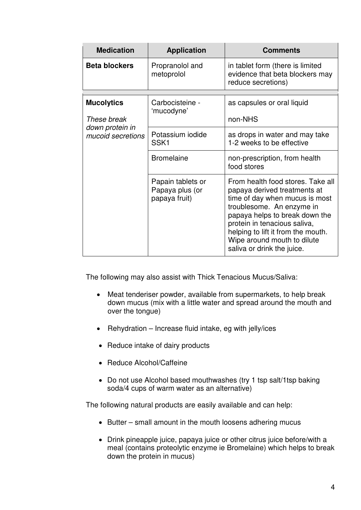| <b>Medication</b>                                                        | <b>Application</b>                                    | <b>Comments</b>                                                                                                                                                                                                                                                                                       |
|--------------------------------------------------------------------------|-------------------------------------------------------|-------------------------------------------------------------------------------------------------------------------------------------------------------------------------------------------------------------------------------------------------------------------------------------------------------|
| <b>Beta blockers</b>                                                     | Propranolol and<br>metoprolol                         | in tablet form (there is limited<br>evidence that beta blockers may<br>reduce secretions)                                                                                                                                                                                                             |
| <b>Mucolytics</b><br>These break<br>down protein in<br>mucoid secretions | Carbocisteine -<br>'mucodyne'                         | as capsules or oral liquid                                                                                                                                                                                                                                                                            |
|                                                                          |                                                       | non-NHS                                                                                                                                                                                                                                                                                               |
|                                                                          | Potassium iodide<br>SSK <sub>1</sub>                  | as drops in water and may take<br>1-2 weeks to be effective                                                                                                                                                                                                                                           |
|                                                                          | <b>Bromelaine</b>                                     | non-prescription, from health<br>food stores                                                                                                                                                                                                                                                          |
|                                                                          | Papain tablets or<br>Papaya plus (or<br>papaya fruit) | From health food stores. Take all<br>papaya derived treatments at<br>time of day when mucus is most<br>troublesome. An enzyme in<br>papaya helps to break down the<br>protein in tenacious saliva,<br>helping to lift it from the mouth.<br>Wipe around mouth to dilute<br>saliva or drink the juice. |

The following may also assist with Thick Tenacious Mucus/Saliva:

- Meat tenderiser powder, available from supermarkets, to help break down mucus (mix with a little water and spread around the mouth and over the tongue)
- Rehydration Increase fluid intake, eg with jelly/ices
- Reduce intake of dairy products
- Reduce Alcohol/Caffeine
- Do not use Alcohol based mouthwashes (try 1 tsp salt/1tsp baking soda/4 cups of warm water as an alternative)

The following natural products are easily available and can help:

- Butter small amount in the mouth loosens adhering mucus
- Drink pineapple juice, papaya juice or other citrus juice before/with a meal (contains proteolytic enzyme ie Bromelaine) which helps to break down the protein in mucus)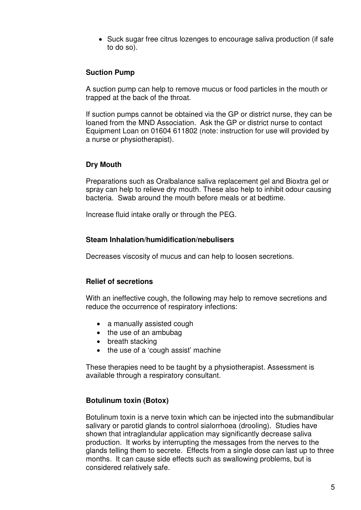• Suck sugar free citrus lozenges to encourage saliva production (if safe to do so).

## **Suction Pump**

A suction pump can help to remove mucus or food particles in the mouth or trapped at the back of the throat.

If suction pumps cannot be obtained via the GP or district nurse, they can be loaned from the MND Association. Ask the GP or district nurse to contact Equipment Loan on 01604 611802 (note: instruction for use will provided by a nurse or physiotherapist).

## **Dry Mouth**

Preparations such as Oralbalance saliva replacement gel and Bioxtra gel or spray can help to relieve dry mouth. These also help to inhibit odour causing bacteria. Swab around the mouth before meals or at bedtime.

Increase fluid intake orally or through the PEG.

## **Steam Inhalation/humidification/nebulisers**

Decreases viscosity of mucus and can help to loosen secretions.

## **Relief of secretions**

With an ineffective cough, the following may help to remove secretions and reduce the occurrence of respiratory infections:

- a manually assisted cough
- the use of an ambubag
- breath stacking
- the use of a 'cough assist' machine

These therapies need to be taught by a physiotherapist. Assessment is available through a respiratory consultant.

# **Botulinum toxin (Botox)**

Botulinum toxin is a nerve toxin which can be injected into the submandibular salivary or parotid glands to control sialorrhoea (drooling). Studies have shown that intraglandular application may significantly decrease saliva production. It works by interrupting the messages from the nerves to the glands telling them to secrete. Effects from a single dose can last up to three months. It can cause side effects such as swallowing problems, but is considered relatively safe.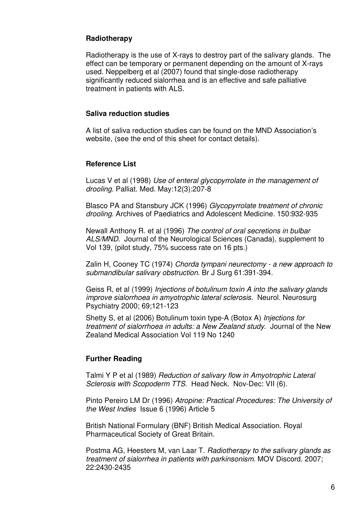## **Radiotherapy**

Radiotherapy is the use of X-rays to destroy part of the salivary glands. The effect can be temporary or permanent depending on the amount of X-rays used. Neppelberg et al (2007) found that single-dose radiotherapy significantly reduced sialorrhea and is an effective and safe palliative treatment in patients with ALS.

## **Saliva reduction studies**

A list of saliva reduction studies can be found on the MND Association's website, (see the end of this sheet for contact details).

## **Reference List**

Lucas V et al (1998) *Use of enteral glycopyrrolate in the management of drooling*. Palliat. Med. May:12(3):207-8

Blasco PA and Stansbury JCK (1996) *Glycopyrrolate treatment of chronic drooling*. Archives of Paediatrics and Adolescent Medicine. 150:932-935

Newall Anthony R. et al (1996) *The control of oral secretions in bulbar ALS/MND*. Journal of the Neurological Sciences (Canada), supplement to Vol 139, (pilot study, 75% success rate on 16 pts.)

Zalin H, Cooney TC (1974) *Chorda tympani neurectomy - a new approach to submandibular salivary obstruction*. Br J Surg 61:391-394.

Geiss R, et al (1999) *Injections of botulinum toxin A into the salivary glands improve sialorrhoea in amyotrophic lateral sclerosis.* Neurol. Neurosurg Psychiatry 2000; 69;121-123

Shetty S, et al (2006) Botulinum toxin type-A (Botox A) *Injections for treatment of sialorrhoea in adults: a New Zealand study*. Journal of the New Zealand Medical Association Vol 119 No 1240

## **Further Reading**

Talmi Y P et al (1989) *Reduction of salivary flow in Amyotrophic Lateral Sclerosis with Scopoderm TTS*. Head Neck. Nov-Dec: VII (6).

Pinto Pereiro LM Dr (1996) *Atropine: Practical Procedures: The University of the West Indies* Issue 6 (1996) Article 5

British National Formulary (BNF) British Medical Association. Royal Pharmaceutical Society of Great Britain.

Postma AG, Heesters M, van Laar T. *Radiotherapy to the salivary glands as treatment of sialorrhea in patients with parkinsonism*. MOV Discord. 2007; 22:2430-2435